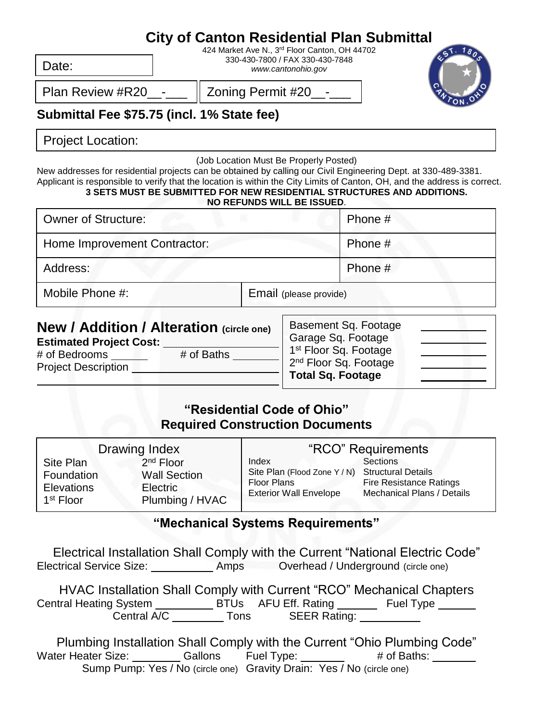## **City of Canton Residential Plan Submittal**

424 Market Ave N., 3rd Floor Canton, OH 44702 330-430-7800 / FAX 330-430-7848 *www.cantonohio.gov*

Date:

Plan Review #R20 -

Zoning Permit #20



**Submittal Fee \$75.75 (incl. 1% State fee)**

Project Location:

(Job Location Must Be Properly Posted)

New addresses for residential projects can be obtained by calling our Civil Engineering Dept. at 330-489-3381. Applicant is responsible to verify that the location is within the City Limits of Canton, OH, and the address is correct.

#### **3 SETS MUST BE SUBMITTED FOR NEW RESIDENTIAL STRUCTURES AND ADDITIONS. NO REFUNDS WILL BE ISSUED**.

|                                                 |                        | NU REFUNDS WILL BE ISSUED. |
|-------------------------------------------------|------------------------|----------------------------|
| <b>Owner of Structure:</b>                      |                        | Phone #                    |
| Home Improvement Contractor:                    |                        | Phone #                    |
| Address:                                        |                        | Phone #                    |
| Mobile Phone #:                                 | Email (please provide) |                            |
| <b>New / Addition / Alteration (circle one)</b> |                        | Basement Sq. Footage       |

| <b>New / Addition / Alteration (circle one)</b><br><b>Estimated Project Cost:</b> |            | Basement Sq. Footage<br>Garage Sq. Footage                                                         |  |
|-----------------------------------------------------------------------------------|------------|----------------------------------------------------------------------------------------------------|--|
| # of Bedrooms<br><b>Project Description</b>                                       | # of Baths | 1 <sup>st</sup> Floor Sq. Footage<br>2 <sup>nd</sup> Floor Sq. Footage<br><b>Total Sq. Footage</b> |  |

### **"Residential Code of Ohio" Required Construction Documents**

|                                                                       | Drawing Index                                                            |                                                                                                                 | "RCO" Requirements                                                                     |
|-----------------------------------------------------------------------|--------------------------------------------------------------------------|-----------------------------------------------------------------------------------------------------------------|----------------------------------------------------------------------------------------|
| Site Plan<br>Foundation<br><b>Elevations</b><br>1 <sup>st</sup> Floor | $2nd$ Floor<br><b>Wall Section</b><br><b>Electric</b><br>Plumbing / HVAC | Index<br>Site Plan (Flood Zone Y / N) Structural Details<br><b>Floor Plans</b><br><b>Exterior Wall Envelope</b> | <b>Sections</b><br><b>Fire Resistance Ratings</b><br><b>Mechanical Plans / Details</b> |

### **"Mechanical Systems Requirements"**

Electrical Installation Shall Comply with the Current "National Electric Code" Electrical Service Size: Amps Overhead / Underground (circle one)

HVAC Installation Shall Comply with Current "RCO" Mechanical Chapters Central Heating System \_\_\_\_\_\_\_\_\_\_\_\_ BTUs AFU Eff. Rating \_\_\_\_\_\_\_ Fuel Type Central A/C \_\_\_\_\_\_\_\_\_\_ Tons SEER Rating:

Plumbing Installation Shall Comply with the Current "Ohio Plumbing Code" Water Heater Size: Callons Fuel Type: 4 of Baths: Sump Pump: Yes / No (circle one) Gravity Drain: Yes / No (circle one)